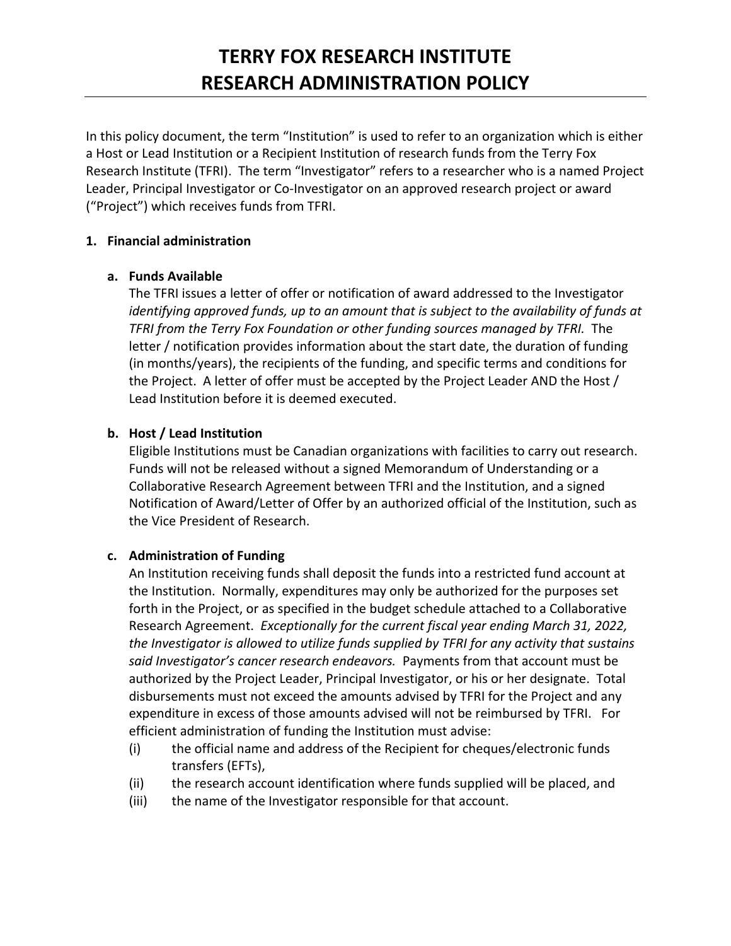In this policy document, the term "Institution" is used to refer to an organization which is either a Host or Lead Institution or a Recipient Institution of research funds from the Terry Fox Research Institute (TFRI). The term "Investigator" refers to a researcher who is a named Project Leader, Principal Investigator or Co‐Investigator on an approved research project or award ("Project") which receives funds from TFRI.

### **1. Financial administration**

## **a. Funds Available**

The TFRI issues a letter of offer or notification of award addressed to the Investigator *identifying approved funds, up to an amount that is subject to the availability of funds at TFRI from the Terry Fox Foundation or other funding sources managed by TFRI.*  The letter / notification provides information about the start date, the duration of funding (in months/years), the recipients of the funding, and specific terms and conditions for the Project. A letter of offer must be accepted by the Project Leader AND the Host / Lead Institution before it is deemed executed.

# **b. Host / Lead Institution**

Eligible Institutions must be Canadian organizations with facilities to carry out research. Funds will not be released without a signed Memorandum of Understanding or a Collaborative Research Agreement between TFRI and the Institution, and a signed Notification of Award/Letter of Offer by an authorized official of the Institution, such as the Vice President of Research.

## **c. Administration of Funding**

An Institution receiving funds shall deposit the funds into a restricted fund account at the Institution. Normally, expenditures may only be authorized for the purposes set forth in the Project, or as specified in the budget schedule attached to a Collaborative Research Agreement. *Exceptionally for the current fiscal year ending March 31, 2022, the Investigator is allowed to utilize funds supplied by TFRI for any activity that sustains said Investigator's cancer research endeavors.* Payments from that account must be authorized by the Project Leader, Principal Investigator, or his or her designate. Total disbursements must not exceed the amounts advised by TFRI for the Project and any expenditure in excess of those amounts advised will not be reimbursed by TFRI. For efficient administration of funding the Institution must advise:

- (i) the official name and address of the Recipient for cheques/electronic funds transfers (EFTs),
- (ii) the research account identification where funds supplied will be placed, and
- (iii) the name of the Investigator responsible for that account.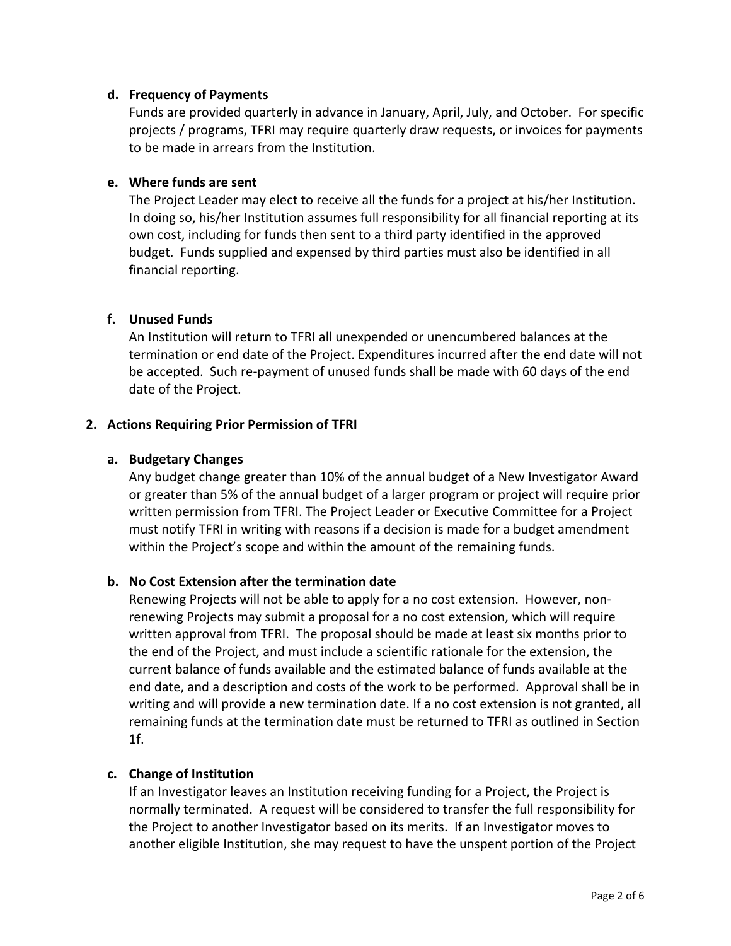#### **d. Frequency of Payments**

Funds are provided quarterly in advance in January, April, July, and October. For specific projects / programs, TFRI may require quarterly draw requests, or invoices for payments to be made in arrears from the Institution.

### **e. Where funds are sent**

The Project Leader may elect to receive all the funds for a project at his/her Institution. In doing so, his/her Institution assumes full responsibility for all financial reporting at its own cost, including for funds then sent to a third party identified in the approved budget. Funds supplied and expensed by third parties must also be identified in all financial reporting.

### **f. Unused Funds**

An Institution will return to TFRI all unexpended or unencumbered balances at the termination or end date of the Project. Expenditures incurred after the end date will not be accepted. Such re‐payment of unused funds shall be made with 60 days of the end date of the Project.

#### **2. Actions Requiring Prior Permission of TFRI**

#### **a. Budgetary Changes**

Any budget change greater than 10% of the annual budget of a New Investigator Award or greater than 5% of the annual budget of a larger program or project will require prior written permission from TFRI. The Project Leader or Executive Committee for a Project must notify TFRI in writing with reasons if a decision is made for a budget amendment within the Project's scope and within the amount of the remaining funds.

### **b. No Cost Extension after the termination date**

Renewing Projects will not be able to apply for a no cost extension. However, non‐ renewing Projects may submit a proposal for a no cost extension, which will require written approval from TFRI. The proposal should be made at least six months prior to the end of the Project, and must include a scientific rationale for the extension, the current balance of funds available and the estimated balance of funds available at the end date, and a description and costs of the work to be performed. Approval shall be in writing and will provide a new termination date. If a no cost extension is not granted, all remaining funds at the termination date must be returned to TFRI as outlined in Section 1f.

#### **c. Change of Institution**

If an Investigator leaves an Institution receiving funding for a Project, the Project is normally terminated. A request will be considered to transfer the full responsibility for the Project to another Investigator based on its merits. If an Investigator moves to another eligible Institution, she may request to have the unspent portion of the Project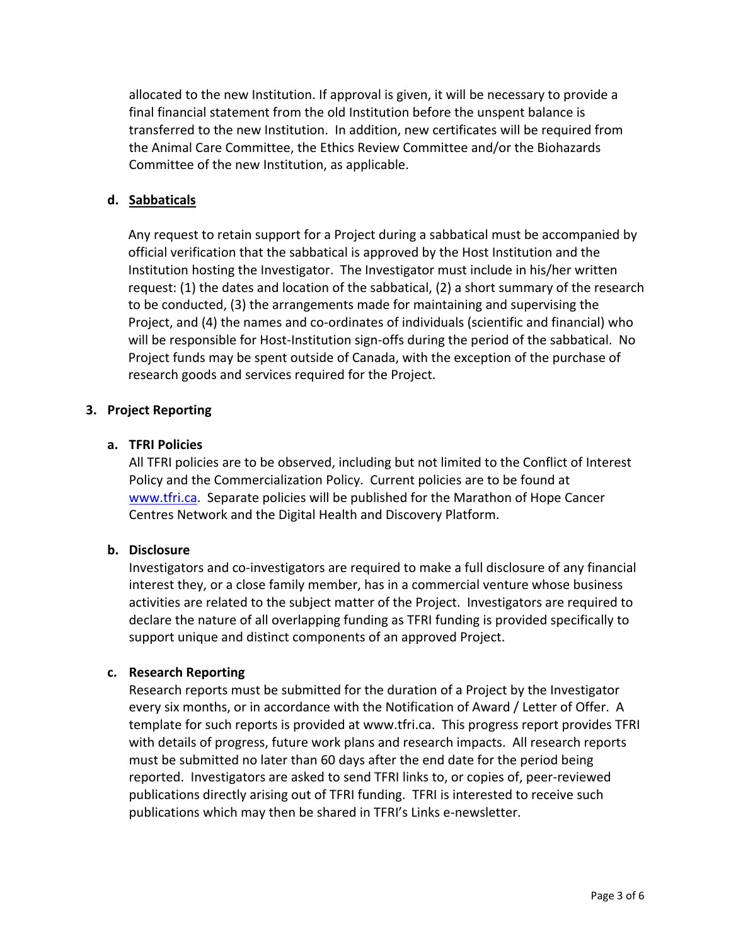allocated to the new Institution. If approval is given, it will be necessary to provide a final financial statement from the old Institution before the unspent balance is transferred to the new Institution. In addition, new certificates will be required from the Animal Care Committee, the Ethics Review Committee and/or the Biohazards Committee of the new Institution, as applicable.

### **d. Sabbaticals**

Any request to retain support for a Project during a sabbatical must be accompanied by official verification that the sabbatical is approved by the Host Institution and the Institution hosting the Investigator. The Investigator must include in his/her written request: (1) the dates and location of the sabbatical, (2) a short summary of the research to be conducted, (3) the arrangements made for maintaining and supervising the Project, and (4) the names and co-ordinates of individuals (scientific and financial) who will be responsible for Host-Institution sign-offs during the period of the sabbatical. No Project funds may be spent outside of Canada, with the exception of the purchase of research goods and services required for the Project.

### **3. Project Reporting**

### **a. TFRI Policies**

All TFRI policies are to be observed, including but not limited to the Conflict of Interest Policy and the Commercialization Policy. Current policies are to be found at www.tfri.ca. Separate policies will be published for the Marathon of Hope Cancer Centres Network and the Digital Health and Discovery Platform.

### **b. Disclosure**

Investigators and co‐investigators are required to make a full disclosure of any financial interest they, or a close family member, has in a commercial venture whose business activities are related to the subject matter of the Project. Investigators are required to declare the nature of all overlapping funding as TFRI funding is provided specifically to support unique and distinct components of an approved Project.

### **c. Research Reporting**

Research reports must be submitted for the duration of a Project by the Investigator every six months, or in accordance with the Notification of Award / Letter of Offer. A template for such reports is provided at www.tfri.ca. This progress report provides TFRI with details of progress, future work plans and research impacts. All research reports must be submitted no later than 60 days after the end date for the period being reported. Investigators are asked to send TFRI links to, or copies of, peer‐reviewed publications directly arising out of TFRI funding. TFRI is interested to receive such publications which may then be shared in TFRI's Links e‐newsletter.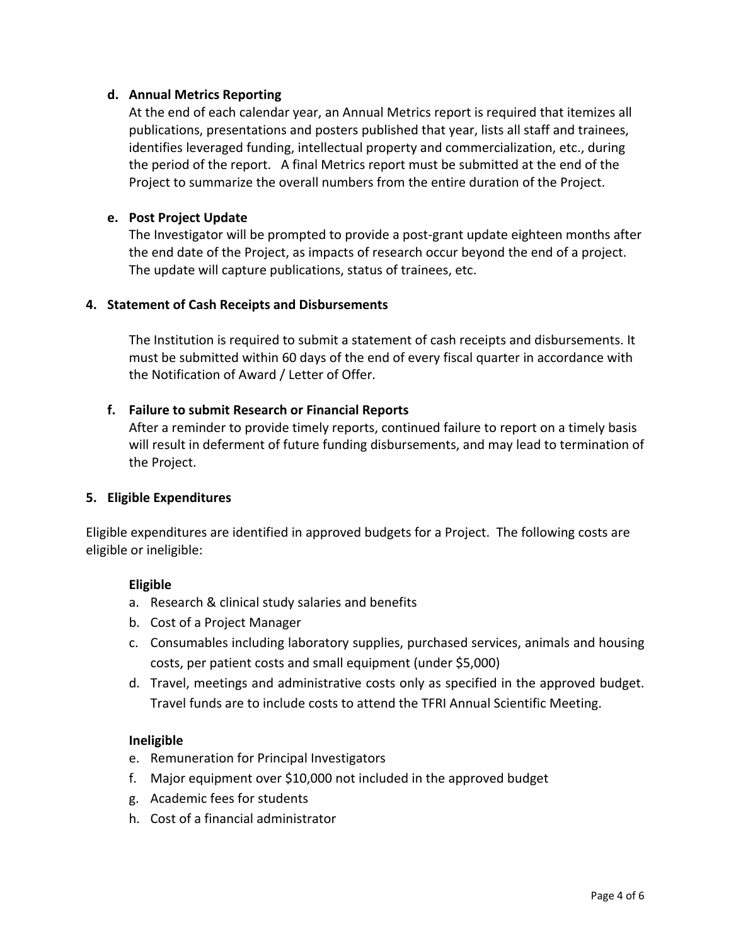### **d. Annual Metrics Reporting**

At the end of each calendar year, an Annual Metrics report is required that itemizes all publications, presentations and posters published that year, lists all staff and trainees, identifies leveraged funding, intellectual property and commercialization, etc., during the period of the report. A final Metrics report must be submitted at the end of the Project to summarize the overall numbers from the entire duration of the Project.

### **e. Post Project Update**

The Investigator will be prompted to provide a post‐grant update eighteen months after the end date of the Project, as impacts of research occur beyond the end of a project. The update will capture publications, status of trainees, etc.

### **4. Statement of Cash Receipts and Disbursements**

The Institution is required to submit a statement of cash receipts and disbursements. It must be submitted within 60 days of the end of every fiscal quarter in accordance with the Notification of Award / Letter of Offer.

### **f. Failure to submit Research or Financial Reports**

After a reminder to provide timely reports, continued failure to report on a timely basis will result in deferment of future funding disbursements, and may lead to termination of the Project.

### **5. Eligible Expenditures**

Eligible expenditures are identified in approved budgets for a Project. The following costs are eligible or ineligible:

### **Eligible**

- a. Research & clinical study salaries and benefits
- b. Cost of a Project Manager
- c. Consumables including laboratory supplies, purchased services, animals and housing costs, per patient costs and small equipment (under \$5,000)
- d. Travel, meetings and administrative costs only as specified in the approved budget. Travel funds are to include costs to attend the TFRI Annual Scientific Meeting.

### **Ineligible**

- e. Remuneration for Principal Investigators
- f. Major equipment over \$10,000 not included in the approved budget
- g. Academic fees for students
- h. Cost of a financial administrator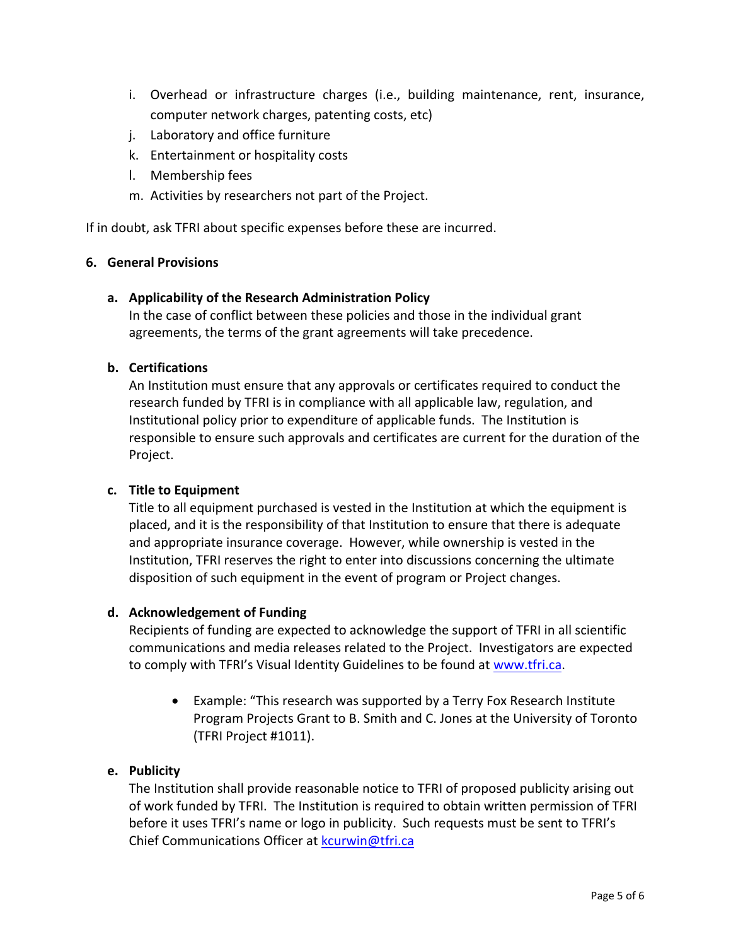- i. Overhead or infrastructure charges (i.e., building maintenance, rent, insurance, computer network charges, patenting costs, etc)
- j. Laboratory and office furniture
- k. Entertainment or hospitality costs
- l. Membership fees
- m. Activities by researchers not part of the Project.

If in doubt, ask TFRI about specific expenses before these are incurred.

#### **6. General Provisions**

#### **a. Applicability of the Research Administration Policy**

In the case of conflict between these policies and those in the individual grant agreements, the terms of the grant agreements will take precedence.

### **b. Certifications**

An Institution must ensure that any approvals or certificates required to conduct the research funded by TFRI is in compliance with all applicable law, regulation, and Institutional policy prior to expenditure of applicable funds. The Institution is responsible to ensure such approvals and certificates are current for the duration of the Project.

### **c. Title to Equipment**

Title to all equipment purchased is vested in the Institution at which the equipment is placed, and it is the responsibility of that Institution to ensure that there is adequate and appropriate insurance coverage. However, while ownership is vested in the Institution, TFRI reserves the right to enter into discussions concerning the ultimate disposition of such equipment in the event of program or Project changes.

#### **d. Acknowledgement of Funding**

Recipients of funding are expected to acknowledge the support of TFRI in all scientific communications and media releases related to the Project. Investigators are expected to comply with TFRI's Visual Identity Guidelines to be found at www.tfri.ca.

 Example: "This research was supported by a Terry Fox Research Institute Program Projects Grant to B. Smith and C. Jones at the University of Toronto (TFRI Project #1011).

### **e. Publicity**

The Institution shall provide reasonable notice to TFRI of proposed publicity arising out of work funded by TFRI. The Institution is required to obtain written permission of TFRI before it uses TFRI's name or logo in publicity. Such requests must be sent to TFRI's Chief Communications Officer at kcurwin@tfri.ca